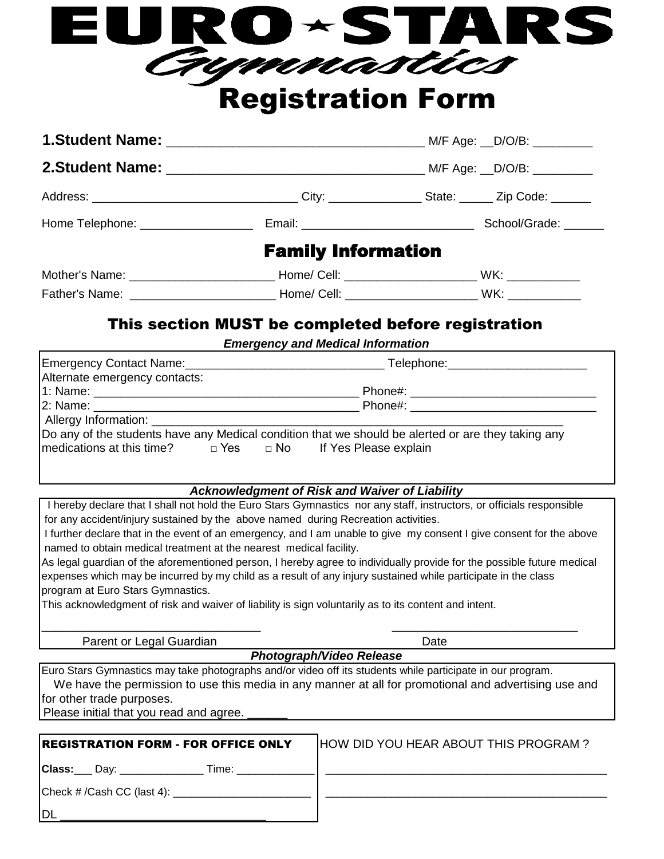| EURO~STARS               |  |
|--------------------------|--|
| Crymnastics              |  |
| <b>Registration Form</b> |  |

| <b>Family Information</b> |  |
|---------------------------|--|
|                           |  |

| Father's Name: | .<br>Cell<br>ome, | WK |
|----------------|-------------------|----|
|                |                   |    |

## This section MUST be completed before registration

*Emergency and Medical Information*

|                                                                          | Telephone: 2000 2000 2010 2020 2020 2020 2021 2021 2022 2021 2021 2021 2022 2022 2021 2021 2022 2022 2022 2021 |  |
|--------------------------------------------------------------------------|----------------------------------------------------------------------------------------------------------------|--|
| Alternate emergency contacts:                                            |                                                                                                                |  |
|                                                                          |                                                                                                                |  |
|                                                                          | Phone#: _______________________________                                                                        |  |
|                                                                          |                                                                                                                |  |
|                                                                          | Do any of the students have any Medical condition that we should be alerted or are they taking any             |  |
| $ $ medications at this time? $\Box$ Yes $\Box$ No If Yes Please explain |                                                                                                                |  |
|                                                                          |                                                                                                                |  |
|                                                                          |                                                                                                                |  |

*Acknowledgment of Risk and Waiver of Liability*

 I hereby declare that I shall not hold the Euro Stars Gymnastics nor any staff, instructors, or officials responsible for any accident/injury sustained by the above named during Recreation activities.

 I further declare that in the event of an emergency, and I am unable to give my consent I give consent for the above named to obtain medical treatment at the nearest medical facility.

As legal guardian of the aforementioned person, I hereby agree to individually provide for the possible future medical expenses which may be incurred by my child as a result of any injury sustained while participate in the class program at Euro Stars Gymnastics.

 $\_$  , and the set of the set of the set of the set of the set of the set of the set of the set of the set of the set of the set of the set of the set of the set of the set of the set of the set of the set of the set of th

This acknowledgment of risk and waiver of liability is sign voluntarily as to its content and intent.

Parent or Legal Guardian Date Date

Euro Stars Gymnastics may take photographs and/or video off its students while participate in our program. *Photograph/Video Release* We have the permission to use this media in any manner at all for promotional and advertising use and for other trade purposes.

Please initial that you read and agree.

| <b>REGISTRATION FORM - FOR OFFICE ONLY</b> | <b>HOW DID YOU HEAR ABOUT THIS PROGRAM?</b> |
|--------------------------------------------|---------------------------------------------|
|                                            |                                             |
| $\vert$ Check # /Cash CC (last 4):         |                                             |
| IDL                                        |                                             |
|                                            |                                             |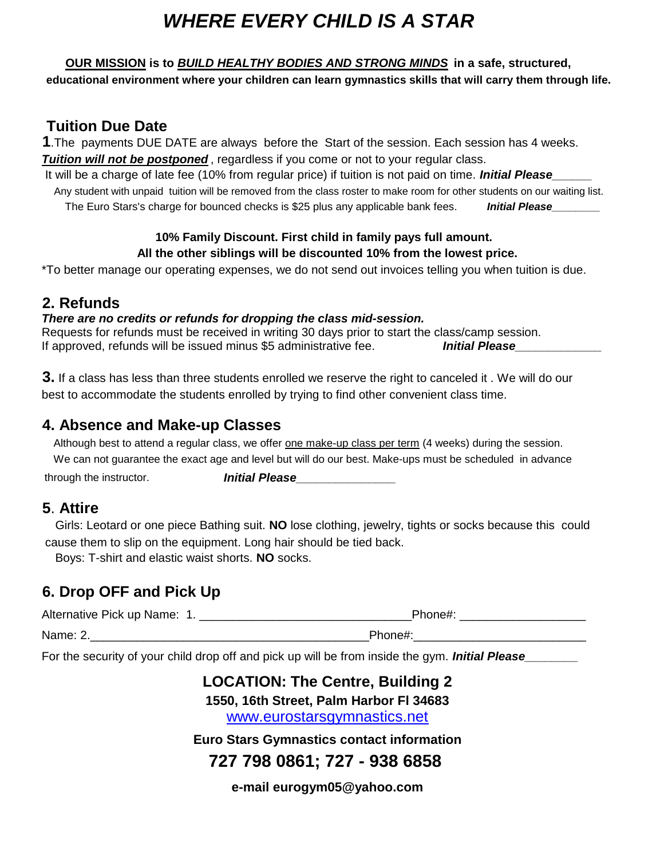# *WHERE EVERY CHILD IS A STAR*

#### **OUR MISSION is to** *BUILD HEALTHY BODIES AND STRONG MINDS* **in a safe, structured,**

 **educational environment where your children can learn gymnastics skills that will carry them through life.**

### **Tuition Due Date**

**1**.The payments DUE DATE are always before the Start of the session. Each session has 4 weeks. **Tuition will not be postponed**, regardless if you come or not to your regular class.

It will be a charge of late fee (10% from regular price) if tuition is not paid on time. *Initial Please* 

 *Initial Please\_\_\_\_\_\_\_\_* The Euro Stars's charge for bounced checks is \$25 plus any applicable bank fees. Any student with unpaid tuition will be removed from the class roster to make room for other students on our waiting list.

#### **10% Family Discount. First child in family pays full amount. All the other siblings will be discounted 10% from the lowest price.**

\*To better manage our operating expenses, we do not send out invoices telling you when tuition is due.

### **2. Refunds**

#### *There are no credits or refunds for dropping the class mid-session.*

Requests for refunds must be received in writing 30 days prior to start the class/camp session. If approved, refunds will be issued minus \$5 administrative fee. **Initial Please** 

**3.** If a class has less than three students enrolled we reserve the right to canceled it . We will do our best to accommodate the students enrolled by trying to find other convenient class time.

### **4. Absence and Make-up Classes**

 Although best to attend a regular class, we offer one make-up class per term (4 weeks) during the session. through the instructor. **Initial Please** We can not guarantee the exact age and level but will do our best. Make-ups must be scheduled in advance

### **5**. **Attire**

 Girls: Leotard or one piece Bathing suit. **NO** lose clothing, jewelry, tights or socks because this could cause them to slip on the equipment. Long hair should be tied back.

Boys: T-shirt and elastic waist shorts. **NO** socks.

# **6. Drop OFF and Pick Up**

| Alternative Pick up Name: 1. | Phone#: |
|------------------------------|---------|
| Name: 2.                     | Phone#: |

For the security of your child drop off and pick up will be from inside the gym. **Initial Please\_** 

# **Euro Stars Gymnastics contact information LOCATION: The Centre, Building 2 1550, 16th Street, Palm Harbor Fl 34683** [w](http://www.eurostarsgymnastics.net/)ww.eurostarsgymnastics.net **727 798 0861; 727 - 938 6858**

**e-mail eurogym05@yahoo.com**